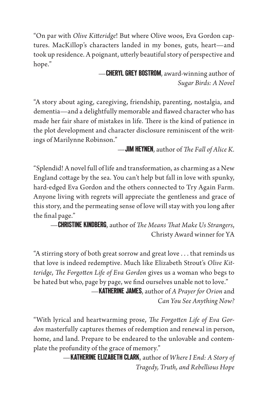"On par with *Olive Kitteridge*! But where Olive woos, Eva Gordon captures. MacKillop's characters landed in my bones, guts, heart—and took up residence. A poignant, utterly beautiful story of perspective and hope."

> -CHERYL GREY BOSTROM, award-winning author of *Sugar Birds: A Novel*

"A story about aging, caregiving, friendship, parenting, nostalgia, and dementia—and a delightfully memorable and flawed character who has made her fair share of mistakes in life. There is the kind of patience in the plot development and character disclosure reminiscent of the writings of Marilynne Robinson."

—Jim Heynen, author of *The Fall of Alice K.*

"Splendid! A novel full of life and transformation, as charming as a New England cottage by the sea. You can't help but fall in love with spunky, hard-edged Eva Gordon and the others connected to Try Again Farm. Anyone living with regrets will appreciate the gentleness and grace of this story, and the permeating sense of love will stay with you long after the final page."

—Christine Kindberg, author of *The Means That Make Us Strangers*, Christy Award winner for YA

"A stirring story of both great sorrow and great love . . . that reminds us that love is indeed redemptive. Much like Elizabeth Strout's *Olive Kitteridge*, *The Forgotten Life of Eva Gordon* gives us a woman who begs to be hated but who, page by page, we find ourselves unable not to love."

> —Katherine James, author of *A Prayer for Orion* and *Can You See Anything Now?*

"With lyrical and heartwarming prose, *The Forgotten Life of Eva Gordon* masterfully captures themes of redemption and renewal in person, home, and land. Prepare to be endeared to the unlovable and contemplate the profundity of the grace of memory."

> —Katherine Elizabeth Clark, author of *Where I End: A Story of Tragedy, Truth, and Rebellious Hope*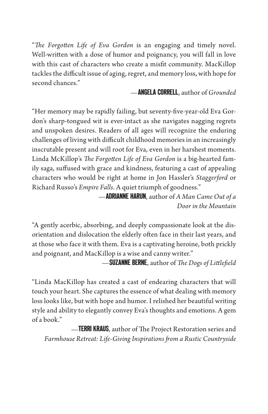"*The Forgotten Life of Eva Gordon* is an engaging and timely novel. Well-written with a dose of humor and poignancy, you will fall in love with this cast of characters who create a misfit community. MacKillop tackles the difficult issue of aging, regret, and memory loss, with hope for second chances."

—Angela Correll, author of *Grounded*

"Her memory may be rapidly failing, but seventy-five-year-old Eva Gordon's sharp-tongued wit is ever-intact as she navigates nagging regrets and unspoken desires. Readers of all ages will recognize the enduring challenges of living with difficult childhood memories in an increasingly inscrutable present and will root for Eva, even in her harshest moments. Linda McKillop's *The Forgotten Life of Eva Gordon* is a big-hearted family saga, suffused with grace and kindness, featuring a cast of appealing characters who would be right at home in Jon Hassler's *Staggerford* or Richard Russo's *Empire Falls*. A quiet triumph of goodness."

> —Adrianne Harun, author of *A Man Came Out of a Door in the Mountain*

"A gently acerbic, absorbing, and deeply compassionate look at the disorientation and dislocation the elderly often face in their last years, and at those who face it with them. Eva is a captivating heroine, both prickly and poignant, and MacKillop is a wise and canny writer."

—Suzanne Berne, author of *The Dogs of Littlefield*

"Linda MacKillop has created a cast of endearing characters that will touch your heart. She captures the essence of what dealing with memory loss looks like, but with hope and humor. I relished her beautiful writing style and ability to elegantly convey Eva's thoughts and emotions. A gem of a book."

**-TERRI KRAUS**, author of The Project Restoration series and *Farmhouse Retreat: Life-Giving Inspirations from a Rustic Countryside*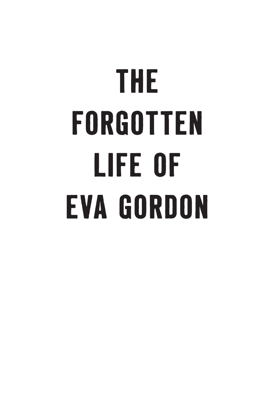## **THE FORGOTTEN LIFE OF EVA GORDON**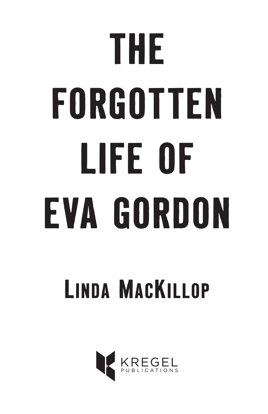# THE FORGOTTEN LIFE OF EVA GORDON

### Linda MacKillop

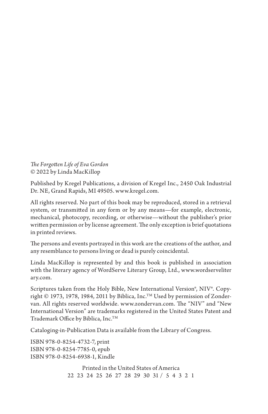*The Forgotten Life of Eva Gordon* © 2022 by Linda MacKillop

Published by Kregel Publications, a division of Kregel Inc., 2450 Oak Industrial Dr. NE, Grand Rapids, MI 49505. www.kregel.com.

All rights reserved. No part of this book may be reproduced, stored in a retrieval system, or transmitted in any form or by any means—for example, electronic, mechanical, photocopy, recording, or otherwise—without the publisher's prior written permission or by license agreement. The only exception is brief quotations in printed reviews.

The persons and events portrayed in this work are the creations of the author, and any resemblance to persons living or dead is purely coincidental.

Linda MacKillop is represented by and this book is published in association with the literary agency of WordServe Literary Group, Ltd., www.wordserveliter ary.com.

Scriptures taken from the Holy Bible, New International Version®, NIV®. Copyright © 1973, 1978, 1984, 2011 by Biblica, Inc.<sup>™</sup> Used by permission of Zondervan. All rights reserved worldwide. www.zondervan.com. The "NIV" and "New International Version" are trademarks registered in the United States Patent and Trademark Office by Biblica, Inc.TM

Cataloging-in-Publication Data is available from the Library of Congress.

ISBN 978-0-8254-4732-7, print ISBN 978-0-8254-7785-0, epub ISBN 978-0-8254-6938-1, Kindle

> Printed in the United States of America 22 23 24 25 26 27 28 29 30 31 / 5 4 3 2 1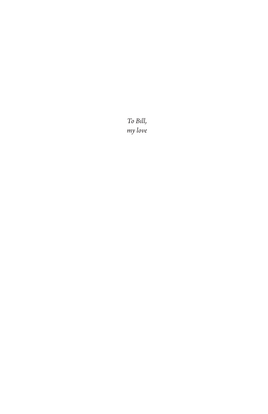*To Bill, my love*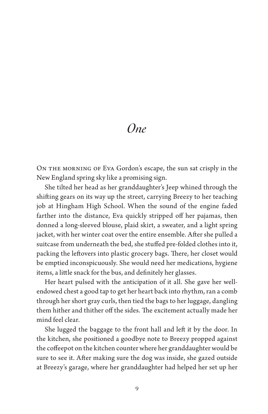*One*

On the morning of Eva Gordon's escape, the sun sat crisply in the New England spring sky like a promising sign.

She tilted her head as her granddaughter's Jeep whined through the shifting gears on its way up the street, carrying Breezy to her teaching job at Hingham High School. When the sound of the engine faded farther into the distance, Eva quickly stripped off her pajamas, then donned a long-sleeved blouse, plaid skirt, a sweater, and a light spring jacket, with her winter coat over the entire ensemble. After she pulled a suitcase from underneath the bed, she stuffed pre-folded clothes into it, packing the leftovers into plastic grocery bags. There, her closet would be emptied inconspicuously. She would need her medications, hygiene items, a little snack for the bus, and definitely her glasses.

Her heart pulsed with the anticipation of it all. She gave her wellendowed chest a good tap to get her heart back into rhythm, ran a comb through her short gray curls, then tied the bags to her luggage, dangling them hither and thither off the sides. The excitement actually made her mind feel clear.

She lugged the baggage to the front hall and left it by the door. In the kitchen, she positioned a goodbye note to Breezy propped against the coffeepot on the kitchen counter where her granddaughter would be sure to see it. After making sure the dog was inside, she gazed outside at Breezy's garage, where her granddaughter had helped her set up her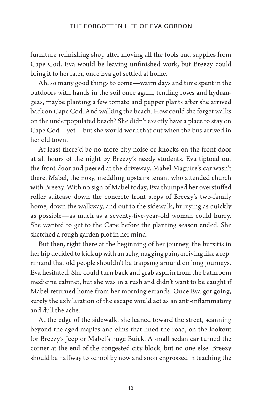furniture refinishing shop after moving all the tools and supplies from Cape Cod. Eva would be leaving unfinished work, but Breezy could bring it to her later, once Eva got settled at home.

Ah, so many good things to come—warm days and time spent in the outdoors with hands in the soil once again, tending roses and hydrangeas, maybe planting a few tomato and pepper plants after she arrived back on Cape Cod. And walking the beach. How could she forget walks on the underpopulated beach? She didn't exactly have a place to stay on Cape Cod—yet—but she would work that out when the bus arrived in her old town.

At least there'd be no more city noise or knocks on the front door at all hours of the night by Breezy's needy students. Eva tiptoed out the front door and peered at the driveway. Mabel Maguire's car wasn't there. Mabel, the nosy, meddling upstairs tenant who attended church with Breezy. With no sign of Mabel today, Eva thumped her overstuffed roller suitcase down the concrete front steps of Breezy's two-family home, down the walkway, and out to the sidewalk, hurrying as quickly as possible—as much as a seventy-five-year-old woman could hurry. She wanted to get to the Cape before the planting season ended. She sketched a rough garden plot in her mind.

But then, right there at the beginning of her journey, the bursitis in her hip decided to kick up with an achy, nagging pain, arriving like a reprimand that old people shouldn't be traipsing around on long journeys. Eva hesitated. She could turn back and grab aspirin from the bathroom medicine cabinet, but she was in a rush and didn't want to be caught if Mabel returned home from her morning errands. Once Eva got going, surely the exhilaration of the escape would act as an anti-inflammatory and dull the ache.

At the edge of the sidewalk, she leaned toward the street, scanning beyond the aged maples and elms that lined the road, on the lookout for Breezy's Jeep or Mabel's huge Buick. A small sedan car turned the corner at the end of the congested city block, but no one else. Breezy should be halfway to school by now and soon engrossed in teaching the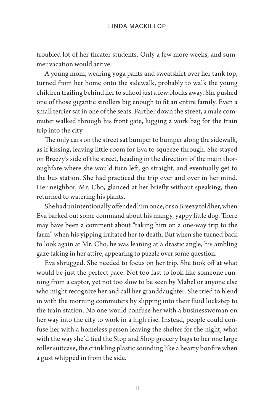troubled lot of her theater students. Only a few more weeks, and summer vacation would arrive.

A young mom, wearing yoga pants and sweatshirt over her tank top, turned from her home onto the sidewalk, probably to walk the young children trailing behind her to school just a few blocks away. She pushed one of those gigantic strollers big enough to fit an entire family. Even a small terrier sat in one of the seats. Farther down the street, a male commuter walked through his front gate, lugging a work bag for the train trip into the city.

The only cars on the street sat bumper to bumper along the sidewalk, as if kissing, leaving little room for Eva to squeeze through. She stayed on Breezy's side of the street, heading in the direction of the main thoroughfare where she would turn left, go straight, and eventually get to the bus station. She had practiced the trip over and over in her mind. Her neighbor, Mr. Cho, glanced at her briefly without speaking, then returned to watering his plants.

She had unintentionally offended him once, or so Breezy told her, when Eva barked out some command about his mangy, yappy little dog. There may have been a comment about "taking him on a one-way trip to the farm" when his yipping irritated her to death. But when she turned back to look again at Mr. Cho, he was leaning at a drastic angle, his ambling gaze taking in her attire, appearing to puzzle over some question.

Eva shrugged. She needed to focus on her trip. She took off at what would be just the perfect pace. Not too fast to look like someone running from a captor, yet not too slow to be seen by Mabel or anyone else who might recognize her and call her granddaughter. She tried to blend in with the morning commuters by slipping into their fluid lockstep to the train station. No one would confuse her with a businesswoman on her way into the city to work in a high rise. Instead, people could confuse her with a homeless person leaving the shelter for the night, what with the way she'd tied the Stop and Shop grocery bags to her one large roller suitcase, the crinkling plastic sounding like a hearty bonfire when a gust whipped in from the side.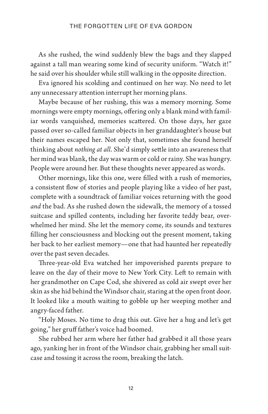As she rushed, the wind suddenly blew the bags and they slapped against a tall man wearing some kind of security uniform. "Watch it!" he said over his shoulder while still walking in the opposite direction.

Eva ignored his scolding and continued on her way. No need to let any unnecessary attention interrupt her morning plans.

Maybe because of her rushing, this was a memory morning. Some mornings were empty mornings, offering only a blank mind with familiar words vanquished, memories scattered. On those days, her gaze passed over so-called familiar objects in her granddaughter's house but their names escaped her. Not only that, sometimes she found herself thinking about *nothing at all*. She'd simply settle into an awareness that her mind was blank, the day was warm or cold or rainy. She was hungry. People were around her. But these thoughts never appeared as words.

Other mornings, like this one, were filled with a rush of memories, a consistent flow of stories and people playing like a video of her past, complete with a soundtrack of familiar voices returning with the good *and* the bad. As she rushed down the sidewalk, the memory of a tossed suitcase and spilled contents, including her favorite teddy bear, overwhelmed her mind. She let the memory come, its sounds and textures filling her consciousness and blocking out the present moment, taking her back to her earliest memory—one that had haunted her repeatedly over the past seven decades.

Three-year-old Eva watched her impoverished parents prepare to leave on the day of their move to New York City. Left to remain with her grandmother on Cape Cod, she shivered as cold air swept over her skin as she hid behind the Windsor chair, staring at the open front door. It looked like a mouth waiting to gobble up her weeping mother and angry-faced father.

"Holy Moses. No time to drag this out. Give her a hug and let's get going," her gruff father's voice had boomed.

She rubbed her arm where her father had grabbed it all those years ago, yanking her in front of the Windsor chair, grabbing her small suitcase and tossing it across the room, breaking the latch.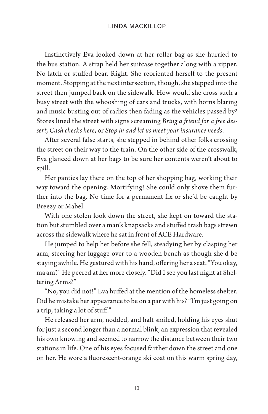Instinctively Eva looked down at her roller bag as she hurried to the bus station. A strap held her suitcase together along with a zipper. No latch or stuffed bear. Right. She reoriented herself to the present moment. Stopping at the next intersection, though, she stepped into the street then jumped back on the sidewalk. How would she cross such a busy street with the whooshing of cars and trucks, with horns blaring and music busting out of radios then fading as the vehicles passed by? Stores lined the street with signs screaming *Bring a friend for a free dessert*, *Cash checks here*, or *Stop in and let us meet your insurance needs*.

After several false starts, she stepped in behind other folks crossing the street on their way to the train. On the other side of the crosswalk, Eva glanced down at her bags to be sure her contents weren't about to spill.

Her panties lay there on the top of her shopping bag, working their way toward the opening. Mortifying! She could only shove them further into the bag. No time for a permanent fix or she'd be caught by Breezy or Mabel.

With one stolen look down the street, she kept on toward the station but stumbled over a man's knapsacks and stuffed trash bags strewn across the sidewalk where he sat in front of ACE Hardware.

He jumped to help her before she fell, steadying her by clasping her arm, steering her luggage over to a wooden bench as though she'd be staying awhile. He gestured with his hand, offering her a seat. "You okay, ma'am?" He peered at her more closely. "Did I see you last night at Sheltering Arms?"

"No, you did not!" Eva huffed at the mention of the homeless shelter. Did he mistake her appearance to be on a par with his? "I'm just going on a trip, taking a lot of stuff."

He released her arm, nodded, and half smiled, holding his eyes shut for just a second longer than a normal blink, an expression that revealed his own knowing and seemed to narrow the distance between their two stations in life. One of his eyes focused farther down the street and one on her. He wore a fluorescent-orange ski coat on this warm spring day,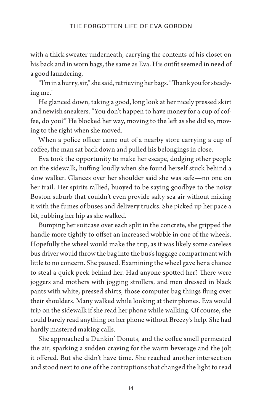with a thick sweater underneath, carrying the contents of his closet on his back and in worn bags, the same as Eva. His outfit seemed in need of a good laundering.

"I'm in a hurry, sir," she said, retrieving her bags. "Thank you for steadying me."

He glanced down, taking a good, long look at her nicely pressed skirt and newish sneakers. "You don't happen to have money for a cup of coffee, do you?" He blocked her way, moving to the left as she did so, moving to the right when she moved.

When a police officer came out of a nearby store carrying a cup of coffee, the man sat back down and pulled his belongings in close.

Eva took the opportunity to make her escape, dodging other people on the sidewalk, huffing loudly when she found herself stuck behind a slow walker. Glances over her shoulder said she was safe—no one on her trail. Her spirits rallied, buoyed to be saying goodbye to the noisy Boston suburb that couldn't even provide salty sea air without mixing it with the fumes of buses and delivery trucks. She picked up her pace a bit, rubbing her hip as she walked.

Bumping her suitcase over each split in the concrete, she gripped the handle more tightly to offset an increased wobble in one of the wheels. Hopefully the wheel would make the trip, as it was likely some careless bus driver would throw the bag into the bus's luggage compartment with little to no concern. She paused. Examining the wheel gave her a chance to steal a quick peek behind her. Had anyone spotted her? There were joggers and mothers with jogging strollers, and men dressed in black pants with white, pressed shirts, those computer bag things flung over their shoulders. Many walked while looking at their phones. Eva would trip on the sidewalk if she read her phone while walking. Of course, she could barely read anything on her phone without Breezy's help. She had hardly mastered making calls.

She approached a Dunkin' Donuts, and the coffee smell permeated the air, sparking a sudden craving for the warm beverage and the jolt it offered. But she didn't have time. She reached another intersection and stood next to one of the contraptions that changed the light to read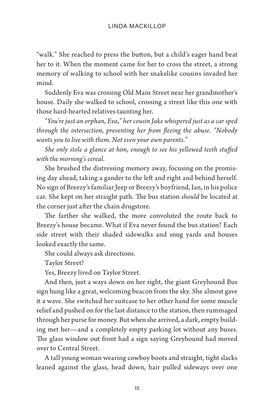"walk." She reached to press the button, but a child's eager hand beat her to it. When the moment came for her to cross the street, a strong memory of walking to school with her snakelike cousins invaded her mind.

Suddenly Eva was crossing Old Main Street near her grandmother's house. Daily she walked to school, crossing a street like this one with those hard-hearted relatives taunting her.

*"You're just an orphan, Eva," her cousin Jake whispered just as a car sped through the intersection, preventing her from fleeing the abuse. "Nobody wants you to live with them. Not even your own parents."*

*She only stole a glance at him, enough to see his yellowed teeth stuffed with the morning's cereal.*

She brushed the distressing memory away, focusing on the promising day ahead, taking a gander to the left and right and behind herself. No sign of Breezy's familiar Jeep or Breezy's boyfriend, Ian, in his police car. She kept on her straight path. The bus station *should* be located at the corner just after the chain drugstore.

The farther she walked, the more convoluted the route back to Breezy's house became. What if Eva never found the bus station? Each side street with their shaded sidewalks and snug yards and houses looked exactly the same.

She could always ask directions.

Taylor Street?

Yes, Breezy lived on Taylor Street.

And then, just a ways down on her right, the giant Greyhound Bus sign hung like a great, welcoming beacon from the sky. She almost gave it a wave. She switched her suitcase to her other hand for some muscle relief and pushed on for the last distance to the station, then rummaged through her purse for money. But when she arrived, a dark, empty building met her—and a completely empty parking lot without any buses. The glass window out front had a sign saying Greyhound had moved over to Central Street.

A tall young woman wearing cowboy boots and straight, tight slacks leaned against the glass, head down, hair pulled sideways over one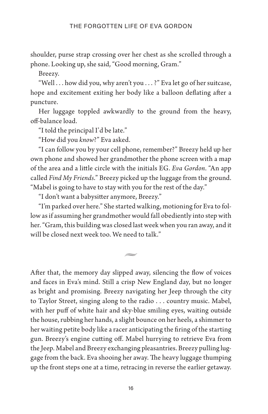shoulder, purse strap crossing over her chest as she scrolled through a phone. Looking up, she said, "Good morning, Gram."

Breezy.

"Well . . . how did you, why aren't you . . . ?" Eva let go of her suitcase, hope and excitement exiting her body like a balloon deflating after a puncture.

Her luggage toppled awkwardly to the ground from the heavy, off-balance load.

"I told the principal I'd be late."

"How did you *know*?" Eva asked.

"I can follow you by your cell phone, remember?" Breezy held up her own phone and showed her grandmother the phone screen with a map of the area and a little circle with the initials EG. *Eva Gordon*. "An app called *Find My Friends*." Breezy picked up the luggage from the ground. "Mabel is going to have to stay with you for the rest of the day."

"I don't want a babysitter anymore, Breezy."

"I'm parked over here." She started walking, motioning for Eva to follow as if assuming her grandmother would fall obediently into step with her. "Gram, this building was closed last week when you ran away, and it will be closed next week too. We need to talk."

 $\approx$ 

After that, the memory day slipped away, silencing the flow of voices and faces in Eva's mind. Still a crisp New England day, but no longer as bright and promising. Breezy navigating her Jeep through the city to Taylor Street, singing along to the radio . . . country music. Mabel, with her puff of white hair and sky-blue smiling eyes, waiting outside the house, rubbing her hands, a slight bounce on her heels, a shimmer to her waiting petite body like a racer anticipating the firing of the starting gun. Breezy's engine cutting off. Mabel hurrying to retrieve Eva from the Jeep. Mabel and Breezy exchanging pleasantries. Breezy pulling luggage from the back. Eva shooing her away. The heavy luggage thumping up the front steps one at a time, retracing in reverse the earlier getaway.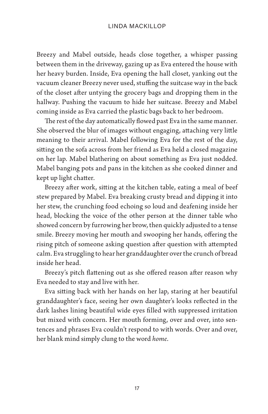#### LINDA MACKILLOP

Breezy and Mabel outside, heads close together, a whisper passing between them in the driveway, gazing up as Eva entered the house with her heavy burden. Inside, Eva opening the hall closet, yanking out the vacuum cleaner Breezy never used, stuffing the suitcase way in the back of the closet after untying the grocery bags and dropping them in the hallway. Pushing the vacuum to hide her suitcase. Breezy and Mabel coming inside as Eva carried the plastic bags back to her bedroom.

The rest of the day automatically flowed past Eva in the same manner. She observed the blur of images without engaging, attaching very little meaning to their arrival. Mabel following Eva for the rest of the day, sitting on the sofa across from her friend as Eva held a closed magazine on her lap. Mabel blathering on about something as Eva just nodded. Mabel banging pots and pans in the kitchen as she cooked dinner and kept up light chatter.

Breezy after work, sitting at the kitchen table, eating a meal of beef stew prepared by Mabel. Eva breaking crusty bread and dipping it into her stew, the crunching food echoing so loud and deafening inside her head, blocking the voice of the other person at the dinner table who showed concern by furrowing her brow, then quickly adjusted to a tense smile. Breezy moving her mouth and swooping her hands, offering the rising pitch of someone asking question after question with attempted calm. Eva struggling to hear her granddaughter over the crunch of bread inside her head.

Breezy's pitch flattening out as she offered reason after reason why Eva needed to stay and live with her.

Eva sitting back with her hands on her lap, staring at her beautiful granddaughter's face, seeing her own daughter's looks reflected in the dark lashes lining beautiful wide eyes filled with suppressed irritation but mixed with concern. Her mouth forming, over and over, into sentences and phrases Eva couldn't respond to with words. Over and over, her blank mind simply clung to the word *home*.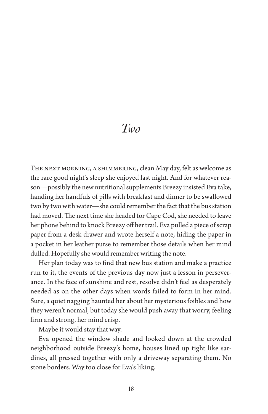#### *Two*

The next morning, a shimmering, clean May day, felt as welcome as the rare good night's sleep she enjoyed last night. And for whatever reason—possibly the new nutritional supplements Breezy insisted Eva take, handing her handfuls of pills with breakfast and dinner to be swallowed two by two with water—she could remember the fact that the bus station had moved. The next time she headed for Cape Cod, she needed to leave her phone behind to knock Breezy off her trail. Eva pulled a piece of scrap paper from a desk drawer and wrote herself a note, hiding the paper in a pocket in her leather purse to remember those details when her mind dulled. Hopefully she would remember writing the note.

Her plan today was to find that new bus station and make a practice run to it, the events of the previous day now just a lesson in perseverance. In the face of sunshine and rest, resolve didn't feel as desperately needed as on the other days when words failed to form in her mind. Sure, a quiet nagging haunted her about her mysterious foibles and how they weren't normal, but today she would push away that worry, feeling firm and strong, her mind crisp.

Maybe it would stay that way.

Eva opened the window shade and looked down at the crowded neighborhood outside Breezy's home, houses lined up tight like sardines, all pressed together with only a driveway separating them. No stone borders. Way too close for Eva's liking.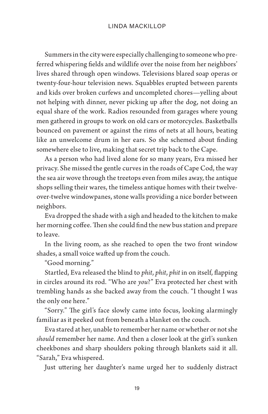#### LINDA MACKILLOP

Summers in the city were especially challenging to someone who preferred whispering fields and wildlife over the noise from her neighbors' lives shared through open windows. Televisions blared soap operas or twenty-four-hour television news. Squabbles erupted between parents and kids over broken curfews and uncompleted chores—yelling about not helping with dinner, never picking up after the dog, not doing an equal share of the work. Radios resounded from garages where young men gathered in groups to work on old cars or motorcycles. Basketballs bounced on pavement or against the rims of nets at all hours, beating like an unwelcome drum in her ears. So she schemed about finding somewhere else to live, making that secret trip back to the Cape.

As a person who had lived alone for so many years, Eva missed her privacy. She missed the gentle curves in the roads of Cape Cod, the way the sea air wove through the treetops even from miles away, the antique shops selling their wares, the timeless antique homes with their twelveover-twelve windowpanes, stone walls providing a nice border between neighbors.

Eva dropped the shade with a sigh and headed to the kitchen to make her morning coffee. Then she could find the new bus station and prepare to leave.

In the living room, as she reached to open the two front window shades, a small voice wafted up from the couch.

"Good morning."

Startled, Eva released the blind to *phit*, *phit*, *phit* in on itself, flapping in circles around its rod. "Who are *you*?" Eva protected her chest with trembling hands as she backed away from the couch. "I thought I was the only one here."

"Sorry." The girl's face slowly came into focus, looking alarmingly familiar as it peeked out from beneath a blanket on the couch.

Eva stared at her, unable to remember her name or whether or not she *should* remember her name. And then a closer look at the girl's sunken cheekbones and sharp shoulders poking through blankets said it all. "Sarah," Eva whispered.

Just uttering her daughter's name urged her to suddenly distract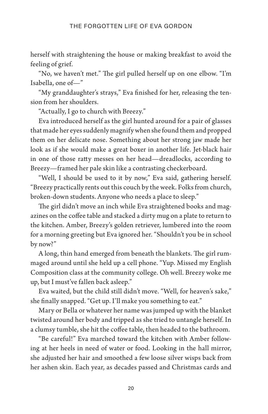herself with straightening the house or making breakfast to avoid the feeling of grief.

"No, we haven't met." The girl pulled herself up on one elbow. "I'm Isabella, one of—"

"My granddaughter's strays," Eva finished for her, releasing the tension from her shoulders.

"Actually, I go to church with Breezy."

Eva introduced herself as the girl hunted around for a pair of glasses that made her eyes suddenly magnify when she found them and propped them on her delicate nose. Something about her strong jaw made her look as if she would make a great boxer in another life. Jet-black hair in one of those ratty messes on her head—dreadlocks, according to Breezy—framed her pale skin like a contrasting checkerboard.

"Well, I should be used to it by now," Eva said, gathering herself. "Breezy practically rents out this couch by the week. Folks from church, broken-down students. Anyone who needs a place to sleep."

The girl didn't move an inch while Eva straightened books and magazines on the coffee table and stacked a dirty mug on a plate to return to the kitchen. Amber, Breezy's golden retriever, lumbered into the room for a morning greeting but Eva ignored her. "Shouldn't you be in school by now?"

A long, thin hand emerged from beneath the blankets. The girl rummaged around until she held up a cell phone. "Yup. Missed my English Composition class at the community college. Oh well. Breezy woke me up, but I must've fallen back asleep."

Eva waited, but the child still didn't move. "Well, for heaven's sake," she finally snapped. "Get up. I'll make you something to eat."

Mary or Bella or whatever her name was jumped up with the blanket twisted around her body and tripped as she tried to untangle herself. In a clumsy tumble, she hit the coffee table, then headed to the bathroom.

"Be careful!" Eva marched toward the kitchen with Amber following at her heels in need of water or food. Looking in the hall mirror, she adjusted her hair and smoothed a few loose silver wisps back from her ashen skin. Each year, as decades passed and Christmas cards and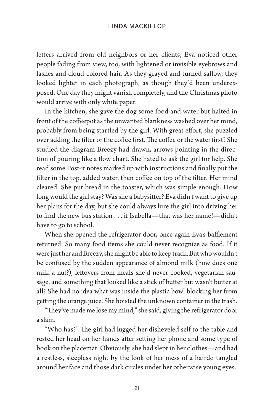#### LINDA MACKILLOP

letters arrived from old neighbors or her clients, Eva noticed other people fading from view, too, with lightened or invisible eyebrows and lashes and cloud-colored hair. As they grayed and turned sallow, they looked lighter in each photograph, as though they'd been underexposed. One day they might vanish completely, and the Christmas photo would arrive with only white paper.

In the kitchen, she gave the dog some food and water but halted in front of the coffeepot as the unwanted blankness washed over her mind, probably from being startled by the girl. With great effort, she puzzled over adding the filter or the coffee first. The coffee or the water first? She studied the diagram Breezy had drawn, arrows pointing in the direction of pouring like a flow chart. She hated to ask the girl for help. She read some Post-it notes marked up with instructions and finally put the filter in the top, added water, then coffee on top of the filter. Her mind cleared. She put bread in the toaster, which was simple enough. How long would the girl stay? Was she a babysitter? Eva didn't want to give up her plans for the day, but she could always lure the girl into driving her to find the new bus station . . . if Isabella—that was her name!—didn't have to go to school.

When she opened the refrigerator door, once again Eva's bafflement returned. So many food items she could never recognize as food. If it were just her and Breezy, she might be able to keep track. But who wouldn't be confused by the sudden appearance of almond milk (how does one milk a nut?), leftovers from meals she'd never cooked, vegetarian sausage, and something that looked like a stick of butter but wasn't butter at all? She had no idea what was inside the plastic bowl blocking her from getting the orange juice. She hoisted the unknown container in the trash.

"They've made me lose my mind," she said, giving the refrigerator door a slam.

"Who has?" The girl had lugged her disheveled self to the table and rested her head on her hands after setting her phone and some type of book on the placemat. Obviously, she had slept in her clothes—and had a restless, sleepless night by the look of her mess of a hairdo tangled around her face and those dark circles under her otherwise young eyes.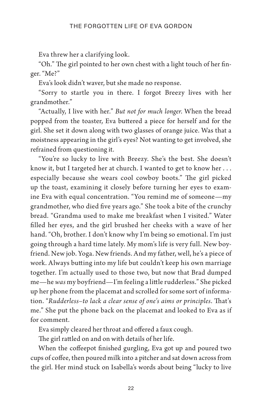Eva threw her a clarifying look.

"Oh." The girl pointed to her own chest with a light touch of her finger. "Me?"

Eva's look didn't waver, but she made no response.

"Sorry to startle you in there. I forgot Breezy lives with her grandmother."

"Actually, I live with her." *But not for much longer*. When the bread popped from the toaster, Eva buttered a piece for herself and for the girl. She set it down along with two glasses of orange juice. Was that a moistness appearing in the girl's eyes? Not wanting to get involved, she refrained from questioning it.

"You're so lucky to live with Breezy. She's the best. She doesn't know it, but I targeted her at church. I wanted to get to know her . . . especially because she wears cool cowboy boots." The girl picked up the toast, examining it closely before turning her eyes to examine Eva with equal concentration. "You remind me of someone—my grandmother, who died five years ago." She took a bite of the crunchy bread. "Grandma used to make me breakfast when I visited." Water filled her eyes, and the girl brushed her cheeks with a wave of her hand. "Oh, brother. I don't know why I'm being so emotional. I'm just going through a hard time lately. My mom's life is very full. New boyfriend. New job. Yoga. New friends. And my father, well, he's a piece of work. Always butting into my life but couldn't keep his own marriage together. I'm actually used to those two, but now that Brad dumped me—he *was* my boyfriend—I'm feeling a little rudderless." She picked up her phone from the placemat and scrolled for some sort of information. "*Rudderless–to lack a clear sense of one's aims or principles*. That's me." She put the phone back on the placemat and looked to Eva as if for comment.

Eva simply cleared her throat and offered a faux cough.

The girl rattled on and on with details of her life.

When the coffeepot finished gurgling, Eva got up and poured two cups of coffee, then poured milk into a pitcher and sat down across from the girl. Her mind stuck on Isabella's words about being "lucky to live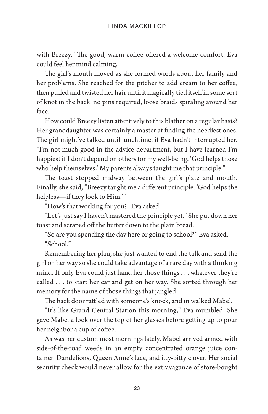with Breezy." The good, warm coffee offered a welcome comfort. Eva could feel her mind calming.

The girl's mouth moved as she formed words about her family and her problems. She reached for the pitcher to add cream to her coffee, then pulled and twisted her hair until it magically tied itself in some sort of knot in the back, no pins required, loose braids spiraling around her face.

How could Breezy listen attentively to this blather on a regular basis? Her granddaughter was certainly a master at finding the neediest ones. The girl might've talked until lunchtime, if Eva hadn't interrupted her. "I'm not much good in the advice department, but I have learned I'm happiest if I don't depend on others for my well-being. 'God helps those who help themselves.' My parents always taught me that principle."

The toast stopped midway between the girl's plate and mouth. Finally, she said, "Breezy taught me a different principle. 'God helps the helpless—if they look to Him.'"

"How's that working for you?" Eva asked.

"Let's just say I haven't mastered the principle yet." She put down her toast and scraped off the butter down to the plain bread.

"So are you spending the day here or going to school?" Eva asked. "School."

Remembering her plan, she just wanted to end the talk and send the girl on her way so she could take advantage of a rare day with a thinking mind. If only Eva could just hand her those things . . . whatever they're called . . . to start her car and get on her way. She sorted through her memory for the name of those things that jangled.

The back door rattled with someone's knock, and in walked Mabel.

"It's like Grand Central Station this morning," Eva mumbled. She gave Mabel a look over the top of her glasses before getting up to pour her neighbor a cup of coffee.

As was her custom most mornings lately, Mabel arrived armed with side-of-the-road weeds in an empty concentrated orange juice container. Dandelions, Queen Anne's lace, and itty-bitty clover. Her social security check would never allow for the extravagance of store-bought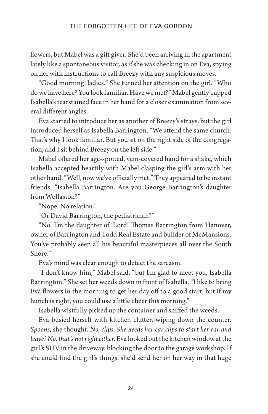flowers, but Mabel was a gift giver. She'd been arriving in the apartment lately like a spontaneous visitor, as if she was checking in on Eva, spying on her with instructions to call Breezy with any suspicious moves.

"Good morning, ladies." She turned her attention on the girl. "Who do we have here? You look familiar. Have we met?" Mabel gently cupped Isabella's tearstained face in her hand for a closer examination from several different angles.

Eva started to introduce her as another of Breezy's strays, but the girl introduced herself as Isabella Barrington. "We attend the same church. That's why I look familiar. But you sit on the right side of the congregation, and I sit behind Breezy on the left side."

Mabel offered her age-spotted, vein-covered hand for a shake, which Isabella accepted heartily with Mabel clasping the girl's arm with her other hand. "Well, now we've officially met." They appeared to be instant friends. "Isabella Barrington. Are you George Barrington's daughter from Wollaston?"

"Nope. No relation."

"Or David Barrington, the pediatrician?"

"No. I'm the daughter of 'Lord' Thomas Barrington from Hanover, owner of Barrington and Todd Real Estate and builder of McMansions. You've probably seen all his beautiful masterpieces all over the South Shore."

Eva's mind was clear enough to detect the sarcasm.

"I don't know him," Mabel said, "but I'm glad to meet you, Isabella Barrington." She set her weeds down in front of Isabella. "I like to bring Eva flowers in the morning to get her day off to a good start, but if my hunch is right, you could use a little cheer this morning."

Isabella wistfully picked up the container and sniffed the weeds.

Eva busied herself with kitchen clutter, wiping down the counter. *Spoons*, she thought. *No, clips. She needs her car clips to start her car and leave? No, that's not right either*. Eva looked out the kitchen window at the girl's SUV in the driveway, blocking the door to the garage workshop. If she could find the girl's things, she'd send her on her way in that huge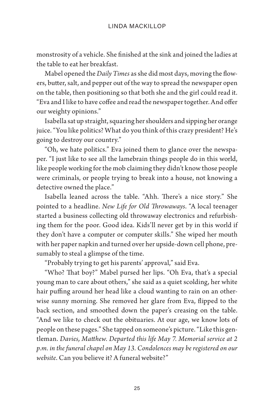monstrosity of a vehicle. She finished at the sink and joined the ladies at the table to eat her breakfast.

Mabel opened the *Daily Times* as she did most days, moving the flowers, butter, salt, and pepper out of the way to spread the newspaper open on the table, then positioning so that both she and the girl could read it. "Eva and I like to have coffee and read the newspaper together. And offer our weighty opinions."

Isabella sat up straight, squaring her shoulders and sipping her orange juice. "You like politics? What do you think of this crazy president? He's going to destroy our country."

"Oh, we hate politics." Eva joined them to glance over the newspaper. "I just like to see all the lamebrain things people do in this world, like people working for the mob claiming they didn't know those people were criminals, or people trying to break into a house, not knowing a detective owned the place."

Isabella leaned across the table. "Ahh. There's a nice story." She pointed to a headline. *New Life for Old Throwaways*. "A local teenager started a business collecting old throwaway electronics and refurbishing them for the poor. Good idea. Kids'll never get by in this world if they don't have a computer or computer skills." She wiped her mouth with her paper napkin and turned over her upside-down cell phone, presumably to steal a glimpse of the time.

"Probably trying to get his parents' approval," said Eva.

"Who? That boy?" Mabel pursed her lips. "Oh Eva, that's a special young man to care about others," she said as a quiet scolding, her white hair puffing around her head like a cloud wanting to rain on an otherwise sunny morning. She removed her glare from Eva, flipped to the back section, and smoothed down the paper's creasing on the table. "And we like to check out the obituaries. At our age, we know lots of people on these pages." She tapped on someone's picture. "Like this gentleman. *Davies, Matthew. Departed this life May 7. Memorial service at 2 p.m. in the funeral chapel on May 13. Condolences may be registered on our website*. Can you believe it? A funeral website?"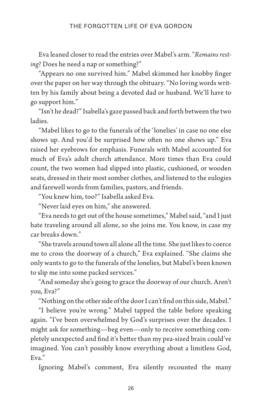Eva leaned closer to read the entries over Mabel's arm. "*Remains resting*? Does he need a nap or something?"

"Appears no one survived him." Mabel skimmed her knobby finger over the paper on her way through the obituary. "No loving words written by his family about being a devoted dad or husband. We'll have to go support him."

"Isn't he dead?" Isabella's gaze passed back and forth between the two ladies.

"Mabel likes to go to the funerals of the 'lonelies' in case no one else shows up. And you'd be surprised how often no one shows up." Eva raised her eyebrows for emphasis. Funerals with Mabel accounted for much of Eva's adult church attendance. More times than Eva could count, the two women had slipped into plastic, cushioned, or wooden seats, dressed in their most somber clothes, and listened to the eulogies and farewell words from families, pastors, and friends.

"You knew him, too?" Isabella asked Eva.

"Never laid eyes on him," she answered.

"Eva needs to get out of the house sometimes," Mabel said, "and I just hate traveling around all alone, so she joins me. You know, in case my car breaks down."

"She travels around town all alone all the time. She just likes to coerce me to cross the doorway of a church," Eva explained. "She claims she only wants to go to the funerals of the lonelies, but Mabel's been known to slip me into some packed services."

"And someday she's going to grace the doorway of our church. Aren't you, Eva?"

"Nothing on the other side of the door I can't find on this side, Mabel."

"I believe you're wrong." Mabel tapped the table before speaking again. "I've been overwhelmed by God's surprises over the decades. I might ask for something—beg even—only to receive something completely unexpected and find it's better than my pea-sized brain could've imagined. You can't possibly know everything about a limitless God, Eva."

Ignoring Mabel's comment, Eva silently recounted the many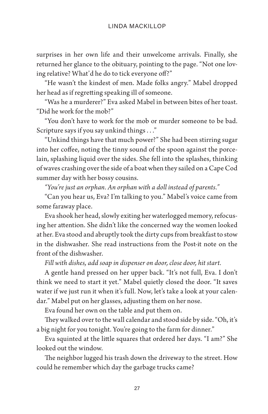surprises in her own life and their unwelcome arrivals. Finally, she returned her glance to the obituary, pointing to the page. "Not one loving relative? What'd he do to tick everyone off?"

"He wasn't the kindest of men. Made folks angry." Mabel dropped her head as if regretting speaking ill of someone.

"Was he a murderer?" Eva asked Mabel in between bites of her toast. "Did he work for the mob?"

"You don't have to work for the mob or murder someone to be bad. Scripture says if you say unkind things . . ."

"Unkind things have that much power?" She had been stirring sugar into her coffee, noting the tinny sound of the spoon against the porcelain, splashing liquid over the sides. She fell into the splashes, thinking of waves crashing over the side of a boat when they sailed on a Cape Cod summer day with her bossy cousins.

*"You're just an orphan. An orphan with a doll instead of parents."*

"Can you hear us, Eva? I'm talking to you." Mabel's voice came from some faraway place.

Eva shook her head, slowly exiting her waterlogged memory, refocusing her attention. She didn't like the concerned way the women looked at her. Eva stood and abruptly took the dirty cups from breakfast to stow in the dishwasher. She read instructions from the Post-it note on the front of the dishwasher.

*Fill with dishes, add soap in dispenser on door, close door, hit start.*

A gentle hand pressed on her upper back. "It's not full, Eva. I don't think we need to start it yet." Mabel quietly closed the door. "It saves water if we just run it when it's full. Now, let's take a look at your calendar." Mabel put on her glasses, adjusting them on her nose.

Eva found her own on the table and put them on.

They walked over to the wall calendar and stood side by side. "Oh, it's a big night for you tonight. You're going to the farm for dinner."

Eva squinted at the little squares that ordered her days. "I am?" She looked out the window.

The neighbor lugged his trash down the driveway to the street. How could he remember which day the garbage trucks came?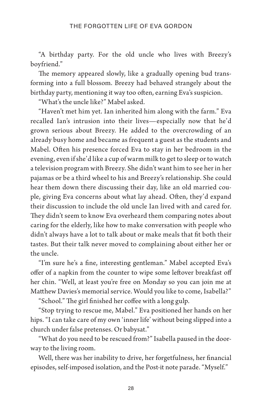"A birthday party. For the old uncle who lives with Breezy's boyfriend."

The memory appeared slowly, like a gradually opening bud transforming into a full blossom. Breezy had behaved strangely about the birthday party, mentioning it way too often, earning Eva's suspicion.

"What's the uncle like?" Mabel asked.

"Haven't met him yet. Ian inherited him along with the farm." Eva recalled Ian's intrusion into their lives—especially now that he'd grown serious about Breezy. He added to the overcrowding of an already busy home and became as frequent a guest as the students and Mabel. Often his presence forced Eva to stay in her bedroom in the evening, even if she'd like a cup of warm milk to get to sleep or to watch a television program with Breezy. She didn't want him to see her in her pajamas or be a third wheel to his and Breezy's relationship. She could hear them down there discussing their day, like an old married couple, giving Eva concerns about what lay ahead. Often, they'd expand their discussion to include the old uncle Ian lived with and cared for. They didn't seem to know Eva overheard them comparing notes about caring for the elderly, like how to make conversation with people who didn't always have a lot to talk about or make meals that fit both their tastes. But their talk never moved to complaining about either her or the uncle.

"I'm sure he's a fine, interesting gentleman." Mabel accepted Eva's offer of a napkin from the counter to wipe some leftover breakfast off her chin. "Well, at least you're free on Monday so you can join me at Matthew Davies's memorial service. Would you like to come, Isabella?"

"School." The girl finished her coffee with a long gulp.

"Stop trying to rescue me, Mabel." Eva positioned her hands on her hips. "I can take care of my own 'inner life' without being slipped into a church under false pretenses. Or babysat."

"What do you need to be rescued from?" Isabella paused in the doorway to the living room.

Well, there was her inability to drive, her forgetfulness, her financial episodes, self-imposed isolation, and the Post-it note parade. "Myself."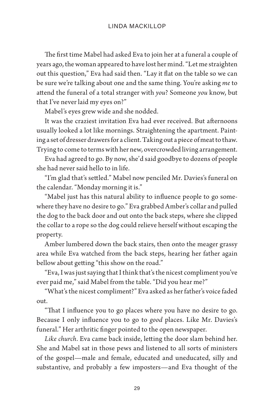#### LINDA MACKILLOP

The first time Mabel had asked Eva to join her at a funeral a couple of years ago, the woman appeared to have lost her mind. "Let me straighten out this question," Eva had said then. "Lay it flat on the table so we can be sure we're talking about one and the same thing. You're asking *me* to attend the funeral of a total stranger with *you*? Someone *you* know, but that I've never laid my eyes on?"

Mabel's eyes grew wide and she nodded.

It was the craziest invitation Eva had ever received. But afternoons usually looked a lot like mornings. Straightening the apartment. Painting a set of dresser drawers for a client. Taking out a piece of meat to thaw. Trying to come to terms with her new, overcrowded living arrangement.

Eva had agreed to go. By now, she'd said goodbye to dozens of people she had never said hello to in life.

"I'm glad that's settled." Mabel now penciled Mr. Davies's funeral on the calendar. "Monday morning it is."

"Mabel just has this natural ability to influence people to go somewhere they have no desire to go." Eva grabbed Amber's collar and pulled the dog to the back door and out onto the back steps, where she clipped the collar to a rope so the dog could relieve herself without escaping the property.

Amber lumbered down the back stairs, then onto the meager grassy area while Eva watched from the back steps, hearing her father again bellow about getting "this show on the road."

"Eva, I was just saying that I think that's the nicest compliment you've ever paid me," said Mabel from the table. "Did you hear me?"

"What's the nicest compliment?" Eva asked as her father's voice faded out.

"That I influence you to go places where you have no desire to go. Because I only influence you to go to *good* places. Like Mr. Davies's funeral." Her arthritic finger pointed to the open newspaper.

*Like church*. Eva came back inside, letting the door slam behind her. She and Mabel sat in those pews and listened to all sorts of ministers of the gospel—male and female, educated and uneducated, silly and substantive, and probably a few imposters—and Eva thought of the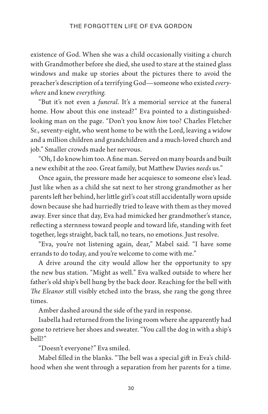existence of God. When she was a child occasionally visiting a church with Grandmother before she died, she used to stare at the stained glass windows and make up stories about the pictures there to avoid the preacher's description of a terrifying God—someone who existed *everywhere* and knew *everything*.

"But it's not even a *funeral*. It's a memorial service at the funeral home. How about this one instead?" Eva pointed to a distinguishedlooking man on the page. "Don't you know *him* too? Charles Fletcher Sr., seventy-eight, who went home to be with the Lord, leaving a widow and a million children and grandchildren and a much-loved church and job." Smaller crowds made her nervous.

"Oh, I do know him too. A fine man. Served on many boards and built a new exhibit at the zoo. Great family, but Matthew Davies *needs* us."

Once again, the pressure made her acquiesce to someone else's lead. Just like when as a child she sat next to her strong grandmother as her parents left her behind, her little girl's coat still accidentally worn upside down because she had hurriedly tried to leave with them as they moved away. Ever since that day, Eva had mimicked her grandmother's stance, reflecting a sternness toward people and toward life, standing with feet together, legs straight, back tall, no tears, no emotions. Just resolve.

"Eva, you're not listening again, dear," Mabel said. "I have some errands to do today, and you're welcome to come with me."

A drive around the city would allow her the opportunity to spy the new bus station. "Might as well." Eva walked outside to where her father's old ship's bell hung by the back door. Reaching for the bell with *The Eleanor* still visibly etched into the brass, she rang the gong three times.

Amber dashed around the side of the yard in response.

Isabella had returned from the living room where she apparently had gone to retrieve her shoes and sweater. "You call the dog in with a ship's bell?"

"Doesn't everyone?" Eva smiled.

Mabel filled in the blanks. "The bell was a special gift in Eva's childhood when she went through a separation from her parents for a time.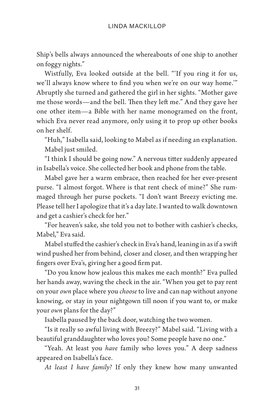Ship's bells always announced the whereabouts of one ship to another on foggy nights."

Wistfully, Eva looked outside at the bell. "'If you ring it for us, we'll always know where to find you when we're on our way home.'" Abruptly she turned and gathered the girl in her sights. "Mother gave me those words—and the bell. Then they left me." And they gave her one other item—a Bible with her name monogramed on the front, which Eva never read anymore, only using it to prop up other books on her shelf.

"Huh," Isabella said, looking to Mabel as if needing an explanation. Mabel just smiled.

"I think I should be going now." A nervous titter suddenly appeared in Isabella's voice. She collected her book and phone from the table.

Mabel gave her a warm embrace, then reached for her ever-present purse. "I almost forgot. Where is that rent check of mine?" She rummaged through her purse pockets. "I don't want Breezy evicting me. Please tell her I apologize that it's a day late. I wanted to walk downtown and get a cashier's check for her."

"For heaven's sake, she told you not to bother with cashier's checks, Mabel," Eva said.

Mabel stuffed the cashier's check in Eva's hand, leaning in as if a swift wind pushed her from behind, closer and closer, and then wrapping her fingers over Eva's, giving her a good firm pat.

"Do you know how jealous this makes me each month?" Eva pulled her hands away, waving the check in the air. "When you get to pay rent on your *own* place where you *choose* to live and can nap without anyone knowing, or stay in your nightgown till noon if you want to, or make your *own* plans for the day?"

Isabella paused by the back door, watching the two women.

"Is it really so awful living with Breezy?" Mabel said. "Living with a beautiful granddaughter who loves you? Some people have no one."

"Yeah. At least you *have* family who loves you." A deep sadness appeared on Isabella's face.

*At least I have family?* If only they knew how many unwanted